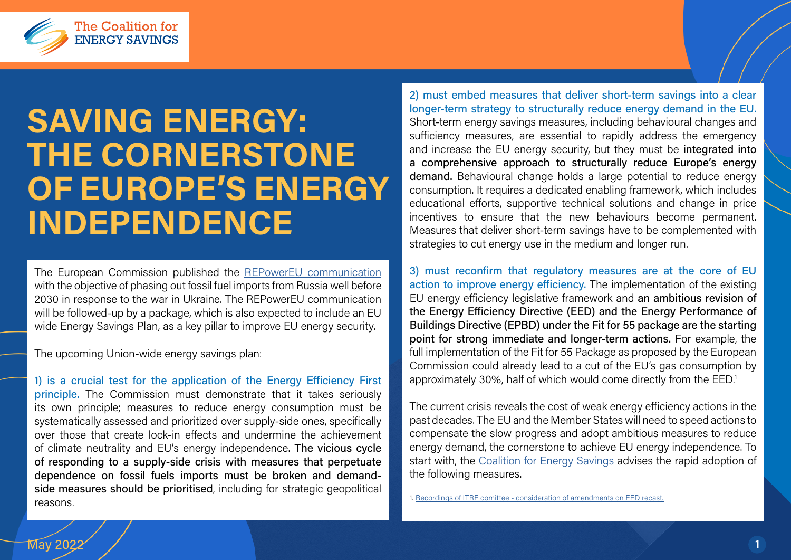

## SAVING ENERGY: THE CORNERSTONE OF EUROPE'S ENERGY INDEPENDENCE

The European Commission published the [REPowerEU communication](https://eur-lex.europa.eu/legal-content/EN/TXT/?uri=COM%3A2022%3A108%3AFIN) with the objective of phasing out fossil fuel imports from Russia well before 2030 in response to the war in Ukraine. The REPowerEU communication will be followed-up by a package, which is also expected to include an EU wide Energy Savings Plan, as a key pillar to improve EU energy security.

The upcoming Union-wide energy savings plan:

1) is a crucial test for the application of the Energy Efficiency First principle. The Commission must demonstrate that it takes seriously its own principle; measures to reduce energy consumption must be systematically assessed and prioritized over supply-side ones, specifically over those that create lock-in effects and undermine the achievement of climate neutrality and EU's energy independence. The vicious cycle of responding to a supply-side crisis with measures that perpetuate dependence on fossil fuels imports must be broken and demandside measures should be prioritised, including for strategic geopolitical reasons.

2) must embed measures that deliver short-term savings into a clear longer-term strategy to structurally reduce energy demand in the EU. Short-term energy savings measures, including behavioural changes and sufficiency measures, are essential to rapidly address the emergency and increase the EU energy security, but they must be integrated into a comprehensive approach to structurally reduce Europe's energy demand. Behavioural change holds a large potential to reduce energy consumption. It requires a dedicated enabling framework, which includes educational efforts, supportive technical solutions and change in price incentives to ensure that the new behaviours become permanent. Measures that deliver short-term savings have to be complemented with strategies to cut energy use in the medium and longer run.

3) must reconfirm that regulatory measures are at the core of EU action to improve energy efficiency. The implementation of the existing EU energy efficiency legislative framework and an ambitious revision of the Energy Efficiency Directive (EED) and the Energy Performance of Buildings Directive (EPBD) under the Fit for 55 package are the starting point for strong immediate and longer-term actions. For example, the full implementation of the Fit for 55 Package as proposed by the European Commission could already lead to a cut of the EU's gas consumption by approximately 30%, half of which would come directly from the EED.1

The current crisis reveals the cost of weak energy efficiency actions in the past decades. The EU and the Member States will need to speed actions to compensate the slow progress and adopt ambitious measures to reduce energy demand, the cornerstone to achieve EU energy independence. To start with, the [Coalition for Energy Savings](https://energycoalition.eu/) advises the rapid adoption of the following measures.

1. [Recordings of ITRE comittee - consideration of amendments on EED recast.](https://multimedia.europarl.europa.eu/en/webstreaming/itre-committee-meeting_20220420-0900-COMMITTEE-ITRE)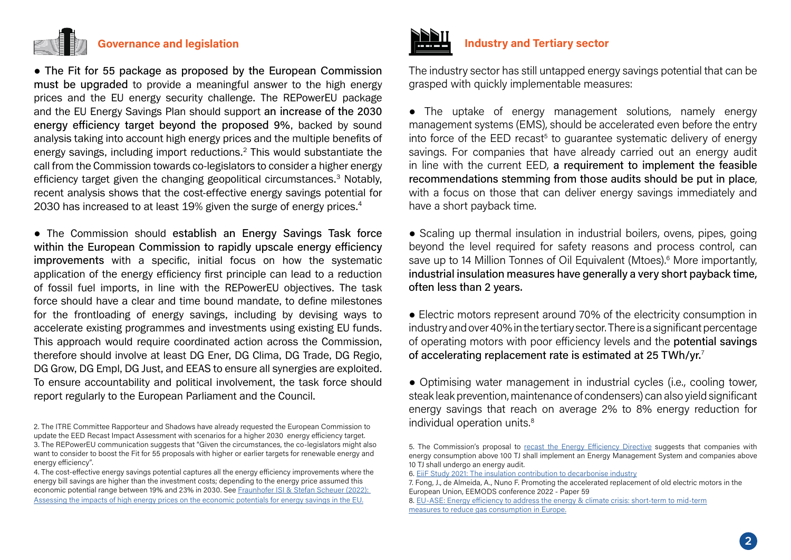

• The Fit for 55 package as proposed by the European Commission must be upgraded to provide a meaningful answer to the high energy prices and the EU energy security challenge. The REPowerEU package and the EU Energy Savings Plan should support an increase of the 2030 energy efficiency target beyond the proposed 9%, backed by sound analysis taking into account high energy prices and the multiple benefits of energy savings, including import reductions.<sup>2</sup> This would substantiate the call from the Commission towards co-legislators to consider a higher energy efficiency target given the changing geopolitical circumstances.<sup>3</sup> Notably, recent analysis shows that the cost-effective energy savings potential for 2030 has increased to at least 19% given the surge of energy prices.<sup>4</sup>

• The Commission should establish an Energy Savings Task force within the European Commission to rapidly upscale energy efficiency improvements with a specific, initial focus on how the systematic application of the energy efficiency first principle can lead to a reduction of fossil fuel imports, in line with the REPowerEU objectives. The task force should have a clear and time bound mandate, to define milestones for the frontloading of energy savings, including by devising ways to accelerate existing programmes and investments using existing EU funds. This approach would require coordinated action across the Commission, therefore should involve at least DG Ener, DG Clima, DG Trade, DG Regio, DG Grow, DG Empl, DG Just, and EEAS to ensure all synergies are exploited. To ensure accountability and political involvement, the task force should report regularly to the European Parliament and the Council.

4. The cost-effective energy savings potential captures all the energy efficiency improvements where the energy bill savings are higher than the investment costs; depending to the energy price assumed this economic potential range between 19% and 23% in 2030. See [Fraunhofer ISI & Stefan Scheuer \(2022\):](https://www.stefanscheuer.eu/publications/high-energy-prices-drive-up-need-for-energy-savings/1951/)  [Assessing the impacts of high energy prices on the economic potentials for energy savings in the EU](https://www.stefanscheuer.eu/publications/high-energy-prices-drive-up-need-for-energy-savings/1951/).



## Industry and Tertiary sector

The industry sector has still untapped energy savings potential that can be grasped with quickly implementable measures:

● The uptake of energy management solutions, namely energy management systems (EMS), should be accelerated even before the entry into force of the EED recast<sup>5</sup> to guarantee systematic delivery of energy savings. For companies that have already carried out an energy audit in line with the current EED, a requirement to implement the feasible recommendations stemming from those audits should be put in place, with a focus on those that can deliver energy savings immediately and have a short payback time.

• Scaling up thermal insulation in industrial boilers, ovens, pipes, going beyond the level required for safety reasons and process control, can save up to 14 Million Tonnes of Oil Equivalent (Mtoes).<sup>6</sup> More importantly, industrial insulation measures have generally a very short payback time, often less than 2 years.

● Electric motors represent around 70% of the electricity consumption in industry and over 40% in the tertiary sector. There is a significant percentage of operating motors with poor efficiency levels and the potential savings of accelerating replacement rate is estimated at 25 TWh/yr.7

● Optimising water management in industrial cycles (i.e., cooling tower, steak leak prevention, maintenance of condensers) can also yield significant energy savings that reach on average 2% to 8% energy reduction for individual operation units.<sup>8</sup>

<sup>2.</sup> The ITRE Committee Rapporteur and Shadows have already requested the European Commission to update the EED Recast Impact Assessment with scenarios for a higher 2030 energy efficiency target. 3. The REPowerEU communication suggests that "Given the circumstances, the co-legislators might also want to consider to boost the Fit for 55 proposals with higher or earlier targets for renewable energy and energy efficiency".

<sup>5.</sup> The Commission's proposal to [recast the Energy Efficiency Directive](https://eur-lex.europa.eu/resource.html?uri=cellar:a214c850-e574-11eb-a1a5-01aa75ed71a1.0001.02/DOC_1&format=PDF) suggests that companies with energy consumption above 100 TJ shall implement an Energy Management System and companies above 10 TJ shall undergo an energy audit.

<sup>6.</sup> [EiiF Study 2021: The insulation contribution to decarbonise industry](https://www.eiif.org/sites/default/files/2022-04/EiiF_Study_2021.pdf)

<sup>7.</sup> Fong, J., de Almeida, A., Nuno F. Promoting the accelerated replacement of old electric motors in the European Union, EEMODS conference 2022 - Paper 59

<sup>8.</sup> [EU-ASE: Energy efficiency to address the energy & climate crisis: short-term to mid-term](https://euase.net/wp-content/uploads/2017/09/220426_EUASE-Catalogue-Energy-Efficiency-measures-to-address-energy-and-climate-crisis-final.pdf) [measures to reduce gas consumption in Europe](https://euase.net/wp-content/uploads/2017/09/220426_EUASE-Catalogue-Energy-Efficiency-measures-to-address-energy-and-climate-crisis-final.pdf).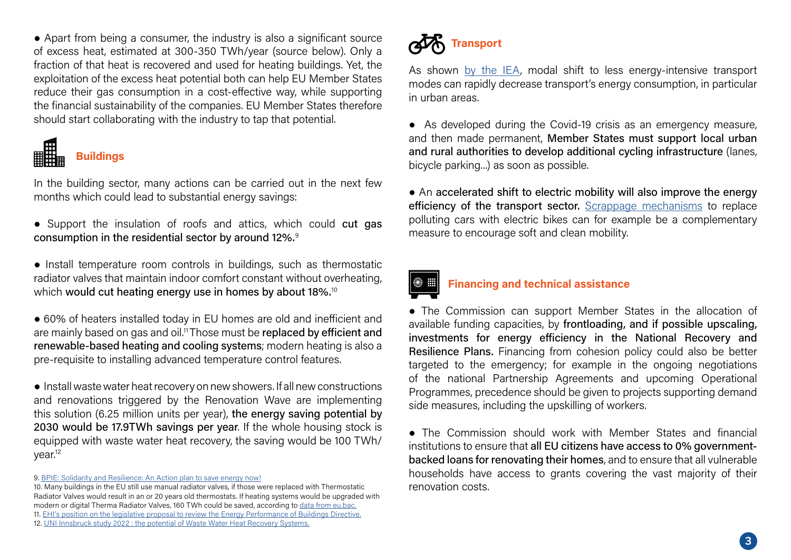● Apart from being a consumer, the industry is also a significant source of excess heat, estimated at 300-350 TWh/year (source below). Only a fraction of that heat is recovered and used for heating buildings. Yet, the exploitation of the excess heat potential both can help EU Member States reduce their gas consumption in a cost-effective way, while supporting the financial sustainability of the companies. EU Member States therefore should start collaborating with the industry to tap that potential.



**Buildings** 

In the building sector, many actions can be carried out in the next few months which could lead to substantial energy savings:

- Support the insulation of roofs and attics, which could cut gas consumption in the residential sector by around 12%.9
- Install temperature room controls in buildings, such as thermostatic radiator valves that maintain indoor comfort constant without overheating, which would cut heating energy use in homes by about 18%.<sup>10</sup>
- 60% of heaters installed today in EU homes are old and inefficient and are mainly based on gas and oil.<sup>11</sup> Those must be replaced by efficient and renewable-based heating and cooling systems; modern heating is also a pre-requisite to installing advanced temperature control features.

● Install waste water heat recovery on new showers. If all new constructions and renovations triggered by the Renovation Wave are implementing this solution (6.25 million units per year), the energy saving potential by 2030 would be 17.9TWh savings per year. If the whole housing stock is equipped with waste water heat recovery, the saving would be 100 TWh/ year.12

9. [BPIE: Solidarity and Resilience: An Action plan to save energy now!](https://www.bpie.eu/wp-content/uploads/2022/03/Strategy-paper_Solidarity-and-resilience_An-action-plan-to-save-energy-now-1.pdf)

10. Many buildings in the EU still use manual radiator valves, if those were replaced with Thermostatic Radiator Valves would result in an or 20 years old thermostats. If heating systems would be upgraded with modern or digital Therma Radiator Valves, 160 TWh could be saved, according to [data from eu.bac.](https://eubac.org/wp-content/uploads/2021/03/White_Paper_on_Room_Temperature_Controls_-_eu.bac_July_2017_FINAL.pdf) 11. [EHI's position on the legislative proposal to review the Energy Performance of Buildings Directive.](https://ehi.eu/fileadmin/user_upload/user_upload/20220329_EHI_position_on_EPBD_review_proposal.pdf) 12. [UNI Innsbruck study 2022 : the potential of Waste Water Heat Recovery Systems.](https://diglib.uibk.ac.at/ulbtirolfodok/content/rpage/7650730)



As shown [by the IEA,](https://www.iea.org/reports/a-10-point-plan-to-cut-oil-use) modal shift to less energy-intensive transport modes can rapidly decrease transport's energy consumption, in particular in urban areas.

● As developed during the Covid-19 crisis as an emergency measure, and then made permanent, Member States must support local urban and rural authorities to develop additional cycling infrastructure (lanes, bicycle parking...) as soon as possible.

● An accelerated shift to electric mobility will also improve the energy efficiency of the transport sector. [Scrappage mechanisms](https://ecf.com/news-and-events/news/electric-bikes-replace-polluting-cars-france-introduces-innovative-scrappage) to replace polluting cars with electric bikes can for example be a complementary [m](https://diglib.uibk.ac.at/ulbtirolfodok/content/rpage/7650730)easure to encourage soft and clean mobility.

## Financing and technical assistance

• The Commission can support Member States in the allocation of available funding capacities, by frontloading, and if possible upscaling, investments for energy efficiency in the National Recovery and Resilience Plans. Financing from cohesion policy could also be better targeted to the emergency; for example in the ongoing negotiations of the national Partnership Agreements and upcoming Operational Programmes, precedence should be given to projects supporting demand side measures, including the upskilling of workers.

● The Commission should work with Member States and financial institutions to ensure that all EU citizens have access to 0% governmentbacked loans for renovating their homes, and to ensure that all vulnerable households have access to grants covering the vast majority of their renovation costs.